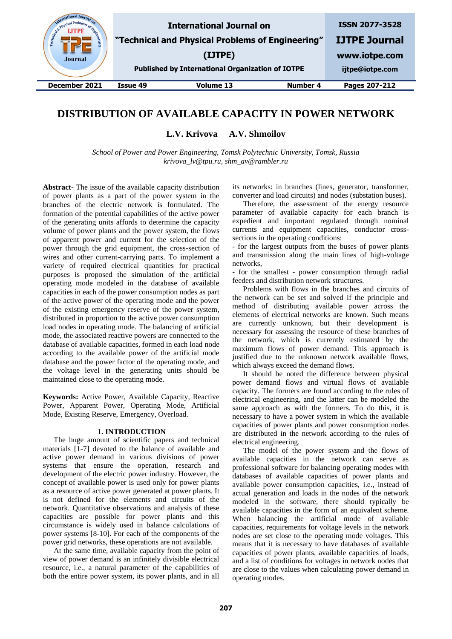| & Physical Pro-<br>Engineer<br><b>Journal</b> |          | <b>International Journal on</b><br>"Technical and Physical Problems of Engineering"<br>(IJTPE)<br><b>Published by International Organization of IOTPE</b> |          | <b>ISSN 2077-3528</b><br><b>IJTPE Journal</b><br>www.iotpe.com<br>ijtpe@iotpe.com |
|-----------------------------------------------|----------|-----------------------------------------------------------------------------------------------------------------------------------------------------------|----------|-----------------------------------------------------------------------------------|
| December 2021                                 | Issue 49 | Volume 13                                                                                                                                                 | Number 4 | Pages 207-212                                                                     |
|                                               |          |                                                                                                                                                           |          |                                                                                   |

# **DISTRIBUTION OF AVAILABLE CAPACITY IN POWER NETWORK**

**L.V. Krivova A.V. Shmoilov**

*School of Power and Power Engineering, Tomsk Polytechnic University, Tomsk, Russia krivova\_lv@tpu.ru, shm\_av@rambler.ru*

**Abstract-** The issue of the available capacity distribution of power plants as a part of the power system in the branches of the electric network is formulated. The formation of the potential capabilities of the active power of the generating units affords to determine the capacity volume of power plants and the power system, the flows of apparent power and current for the selection of the power through the grid equipment, the cross-section of wires and other current-carrying parts. To implement a variety of required electrical quantities for practical purposes is proposed the simulation of the artificial operating mode modeled in the database of available capacities in each of the power consumption nodes as part of the active power of the operating mode and the power of the existing emergency reserve of the power system, distributed in proportion to the active power consumption load nodes in operating mode. The balancing of artificial mode, the associated reactive powers are connected to the database of available capacities, formed in each load node according to the available power of the artificial mode database and the power factor of the operating mode, and the voltage level in the generating units should be maintained close to the operating mode.

**Keywords:** Active Power, Available Capacity, Reactive Power, Apparent Power, Operating Mode, Artificial Mode, Existing Reserve, Emergency, Overload.

#### **1. INTRODUCTION**

The huge amount of scientific papers and technical materials [1-7] devoted to the balance of available and active power demand in various divisions of power systems that ensure the operation, research and development of the electric power industry. However, the concept of available power is used only for power plants as a resource of active power generated at power plants. It is not defined for the elements and circuits of the network. Quantitative observations and analysis of these capacities are possible for power plants and this circumstance is widely used in balance calculations of power systems [8-10]. For each of the components of the power grid networks, these operations are not available.

At the same time, available capacity from the point of view of power demand is an infinitely divisible electrical resource, i.e., a natural parameter of the capabilities of both the entire power system, its power plants, and in all

its networks: in branches (lines, generator, transformer, converter and load circuits) and nodes (substation buses).

Therefore, the assessment of the energy resource parameter of available capacity for each branch is expedient and important regulated through nominal currents and equipment capacities, conductor crosssections in the operating conditions:

- for the largest outputs from the buses of power plants and transmission along the main lines of high-voltage networks,

- for the smallest - power consumption through radial feeders and distribution network structures.

Problems with flows in the branches and circuits of the network can be set and solved if the principle and method of distributing available power across the elements of electrical networks are known. Such means are currently unknown, but their development is necessary for assessing the resource of these branches of the network, which is currently estimated by the maximum flows of power demand. This approach is justified due to the unknown network available flows, which always exceed the demand flows.

It should be noted the difference between physical power demand flows and virtual flows of available capacity. The formers are found according to the rules of electrical engineering, and the latter can be modeled the same approach as with the formers. To do this, it is necessary to have a power system in which the available capacities of power plants and power consumption nodes are distributed in the network according to the rules of electrical engineering.

The model of the power system and the flows of available capacities in the network can serve as professional software for balancing operating modes with databases of available capacities of power plants and available power consumption capacities, i.e., instead of actual generation and loads in the nodes of the network modeled in the software, there should typically be available capacities in the form of an equivalent scheme. When balancing the artificial mode of available capacities, requirements for voltage levels in the network nodes are set close to the operating mode voltages. This means that it is necessary to have databases of available capacities of power plants, available capacities of loads, and a list of conditions for voltages in network nodes that are close to the values when calculating power demand in operating modes.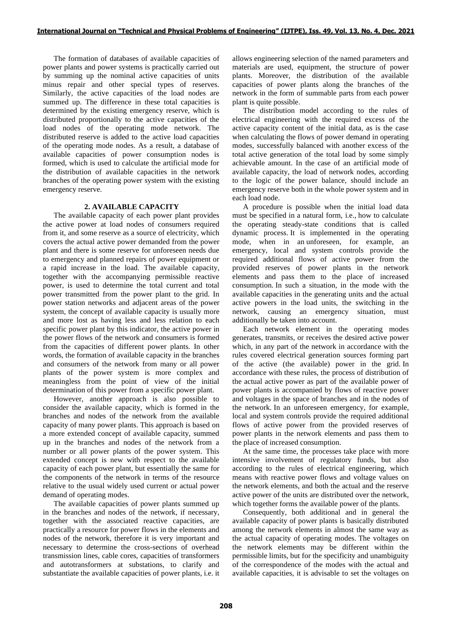The formation of databases of available capacities of power plants and power systems is practically carried out by summing up the nominal active capacities of units minus repair and other special types of reserves. Similarly, the active capacities of the load nodes are summed up. The difference in these total capacities is determined by the existing emergency reserve, which is distributed proportionally to the active capacities of the load nodes of the operating mode network. The distributed reserve is added to the active load capacities of the operating mode nodes. As a result, a database of available capacities of power consumption nodes is formed, which is used to calculate the artificial mode for the distribution of available capacities in the network branches of the operating power system with the existing emergency reserve.

### **2. AVAILABLE CAPACITY**

The available capacity of each power plant provides the active power at load nodes of consumers required from it, and some reserve as a source of electricity, which covers the actual active power demanded from the power plant and there is some reserve for unforeseen needs due to emergency and planned repairs of power equipment or a rapid increase in the load. The available capacity, together with the accompanying permissible reactive power, is used to determine the total current and total power transmitted from the power plant to the grid. In power station networks and adjacent areas of the power system, the concept of available capacity is usually more and more lost as having less and less relation to each specific power plant by this indicator, the active power in the power flows of the network and consumers is formed from the capacities of different power plants. In other words, the formation of available capacity in the branches and consumers of the network from many or all power plants of the power system is more complex and meaningless from the point of view of the initial determination of this power from a specific power plant.

However, another approach is also possible to consider the available capacity, which is formed in the branches and nodes of the network from the available capacity of many power plants. This approach is based on a more extended concept of available capacity, summed up in the branches and nodes of the network from a number or all power plants of the power system. This extended concept is new with respect to the available capacity of each power plant, but essentially the same for the components of the network in terms of the resource relative to the usual widely used current or actual power demand of operating modes.

The available capacities of power plants summed up in the branches and nodes of the network, if necessary, together with the associated reactive capacities, are practically a resource for power flows in the elements and nodes of the network, therefore it is very important and necessary to determine the cross-sections of overhead transmission lines, cable cores, capacities of transformers and autotransformers at substations, to clarify and substantiate the available capacities of power plants, i.e. it

allows engineering selection of the named parameters and materials are used, equipment, the structure of power plants. Moreover, the distribution of the available capacities of power plants along the branches of the network in the form of summable parts from each power plant is quite possible.

The distribution model according to the rules of electrical engineering with the required excess of the active capacity content of the initial data, as is the case when calculating the flows of power demand in operating modes, successfully balanced with another excess of the total active generation of the total load by some simply achievable amount. In the case of an artificial mode of available capacity, the load of network nodes, according to the logic of the power balance, should include an emergency reserve both in the whole power system and in each load node.

A procedure is possible when the initial load data must be specified in a natural form, i.e., how to calculate the operating steady-state conditions that is called dynamic process. It is implemented in the operating mode, when in an unforeseen, for example, an emergency, local and system controls provide the required additional flows of active power from the provided reserves of power plants in the network elements and pass them to the place of increased consumption. In such a situation, in the mode with the available capacities in the generating units and the actual active powers in the load units, the switching in the network, causing an emergency situation, must additionally be taken into account.

Each network element in the operating modes generates, transmits, or receives the desired active power which, in any part of the network in accordance with the rules covered electrical generation sources forming part of the active (the available) power in the grid. In accordance with these rules, the process of distribution of the actual active power as part of the available power of power plants is accompanied by flows of reactive power and voltages in the space of branches and in the nodes of the network. In an unforeseen emergency, for example, local and system controls provide the required additional flows of active power from the provided reserves of power plants in the network elements and pass them to the place of increased consumption.

At the same time, the processes take place with more intensive involvement of regulatory funds, but also according to the rules of electrical engineering, which means with reactive power flows and voltage values on the network elements, and both the actual and the reserve active power of the units are distributed over the network, which together forms the available power of the plants.

Consequently, both additional and in general the available capacity of power plants is basically distributed among the network elements in almost the same way as the actual capacity of operating modes. The voltages on the network elements may be different within the permissible limits, but for the specificity and unambiguity of the correspondence of the modes with the actual and available capacities, it is advisable to set the voltages on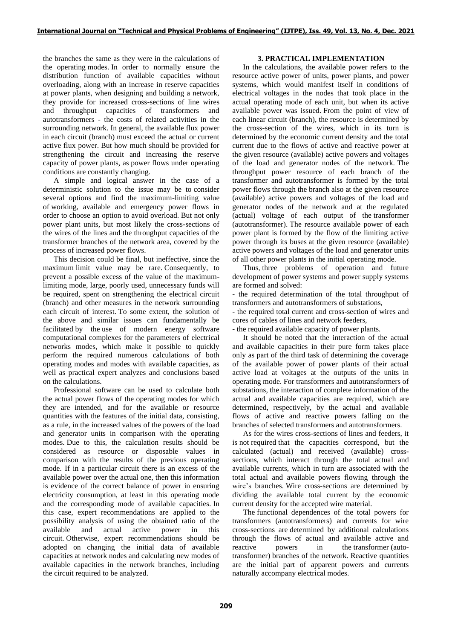the branches the same as they were in the calculations of the operating modes. In order to normally ensure the distribution function of available capacities without overloading, along with an increase in reserve capacities at power plants, when designing and building a network, they provide for increased cross-sections of line wires and throughput capacities of transformers and autotransformers - the costs of related activities in the surrounding network. In general, the available flux power in each circuit (branch) must exceed the actual or current active flux power. But how much should be provided for strengthening the circuit and increasing the reserve capacity of power plants, as power flows under operating conditions are constantly changing.

A simple and logical answer in the case of a deterministic solution to the issue may be to consider several options and find the maximum-limiting value of working, available and emergency power flows in order to choose an option to avoid overload. But not only power plant units, but most likely the cross-sections of the wires of the lines and the throughput capacities of the transformer branches of the network area, covered by the process of increased power flows.

This decision could be final, but ineffective, since the maximum limit value may be rare. Consequently, to prevent a possible excess of the value of the maximumlimiting mode, large, poorly used, unnecessary funds will be required, spent on strengthening the electrical circuit (branch) and other measures in the network surrounding each circuit of interest. To some extent, the solution of the above and similar issues can fundamentally be facilitated by the use of modern energy software computational complexes for the parameters of electrical networks modes, which make it possible to quickly perform the required numerous calculations of both operating modes and modes with available capacities, as well as practical expert analyzes and conclusions based on the calculations.

Professional software can be used to calculate both the actual power flows of the operating modes for which they are intended, and for the available or resource quantities with the features of the initial data, consisting, as a rule, in the increased values of the powers of the load and generator units in comparison with the operating modes. Due to this, the calculation results should be considered as resource or disposable values in comparison with the results of the previous operating mode. If in a particular circuit there is an excess of the available power over the actual one, then this information is evidence of the correct balance of power in ensuring electricity consumption, at least in this operating mode and the corresponding mode of available capacities. In this case, expert recommendations are applied to the possibility analysis of using the obtained ratio of the available and actual active power in this circuit. Otherwise, expert recommendations should be adopted on changing the initial data of available capacities at network nodes and calculating new modes of available capacities in the network branches, including the circuit required to be analyzed.

### **3. PRACTICAL IMPLEMENTATION**

In the calculations, the available power refers to the resource active power of units, power plants, and power systems, which would manifest itself in conditions of electrical voltages in the nodes that took place in the actual operating mode of each unit, but when its active available power was issued. From the point of view of each linear circuit (branch), the resource is determined by the cross-section of the wires, which in its turn is determined by the economic current density and the total current due to the flows of active and reactive power at the given resource (available) active powers and voltages of the load and generator nodes of the network. The throughput power resource of each branch of the transformer and autotransformer is formed by the total power flows through the branch also at the given resource (available) active powers and voltages of the load and generator nodes of the network and at the regulated (actual) voltage of each output of the transformer (autotransformer). The resource available power of each power plant is formed by the flow of the limiting active power through its buses at the given resource (available) active powers and voltages of the load and generator units of all other power plants in the initial operating mode.

Thus, three problems of operation and future development of power systems and power supply systems are formed and solved:

- the required determination of the total throughput of transformers and autotransformers of substations,

- the required total current and cross-section of wires and cores of cables of lines and network feeders,

- the required available capacity of power plants.

It should be noted that the interaction of the actual and available capacities in their pure form takes place only as part of the third task of determining the coverage of the available power of power plants of their actual active load at voltages at the outputs of the units in operating mode. For transformers and autotransformers of substations, the interaction of complete information of the actual and available capacities are required, which are determined, respectively, by the actual and available flows of active and reactive powers falling on the branches of selected transformers and autotransformers.

As for the wires cross-sections of lines and feeders, it is not required that the capacities correspond, but the calculated (actual) and received (available) crosssections, which interact through the total actual and available currents, which in turn are associated with the total actual and available powers flowing through the wire's branches. Wire cross-sections are determined by dividing the available total current by the economic current density for the accepted wire material.

The functional dependences of the total powers for transformers (autotransformers) and currents for wire cross-sections are determined by additional calculations through the flows of actual and available active and reactive powers in the transformer (autotransformer) branches of the network. Reactive quantities are the initial part of apparent powers and currents naturally accompany electrical modes.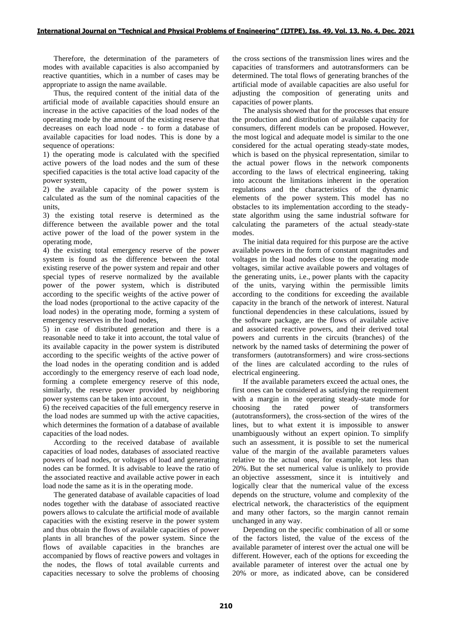Therefore, the determination of the parameters of modes with available capacities is also accompanied by reactive quantities, which in a number of cases may be appropriate to assign the name available.

Thus, the required content of the initial data of the artificial mode of available capacities should ensure an increase in the active capacities of the load nodes of the operating mode by the amount of the existing reserve that decreases on each load node - to form a database of available capacities for load nodes. This is done by a sequence of operations:

1) the operating mode is calculated with the specified active powers of the load nodes and the sum of these specified capacities is the total active load capacity of the power system,

2) the available capacity of the power system is calculated as the sum of the nominal capacities of the units,

3) the existing total reserve is determined as the difference between the available power and the total active power of the load of the power system in the operating mode,

4) the existing total emergency reserve of the power system is found as the difference between the total existing reserve of the power system and repair and other special types of reserve normalized by the available power of the power system, which is distributed according to the specific weights of the active power of the load nodes (proportional to the active capacity of the load nodes) in the operating mode, forming a system of emergency reserves in the load nodes,

5) in case of distributed generation and there is a reasonable need to take it into account, the total value of its available capacity in the power system is distributed according to the specific weights of the active power of the load nodes in the operating condition and is added accordingly to the emergency reserve of each load node, forming a complete emergency reserve of this node, similarly, the reserve power provided by neighboring power systems can be taken into account,

6) the received capacities of the full emergency reserve in the load nodes are summed up with the active capacities, which determines the formation of a database of available capacities of the load nodes.

According to the received database of available capacities of load nodes, databases of associated reactive powers of load nodes, or voltages of load and generating nodes can be formed. It is advisable to leave the ratio of the associated reactive and available active power in each load node the same as it is in the operating mode.

The generated database of available capacities of load nodes together with the database of associated reactive powers allows to calculate the artificial mode of available capacities with the existing reserve in the power system and thus obtain the flows of available capacities of power plants in all branches of the power system. Since the flows of available capacities in the branches are accompanied by flows of reactive powers and voltages in the nodes, the flows of total available currents and capacities necessary to solve the problems of choosing

the cross sections of the transmission lines wires and the capacities of transformers and autotransformers can be determined. The total flows of generating branches of the artificial mode of available capacities are also useful for adjusting the composition of generating units and capacities of power plants.

The analysis showed that for the processes that ensure the production and distribution of available capacity for consumers, different models can be proposed. However, the most logical and adequate model is similar to the one considered for the actual operating steady-state modes, which is based on the physical representation, similar to the actual power flows in the network components according to the laws of electrical engineering, taking into account the limitations inherent in the operation regulations and the characteristics of the dynamic elements of the power system. This model has no obstacles to its implementation according to the steadystate algorithm using the same industrial software for calculating the parameters of the actual steady-state modes.

The initial data required for this purpose are the active available powers in the form of constant magnitudes and voltages in the load nodes close to the operating mode voltages, similar active available powers and voltages of the generating units, i.e., power plants with the capacity of the units, varying within the permissible limits according to the conditions for exceeding the available capacity in the branch of the network of interest. Natural functional dependencies in these calculations, issued by the software package, are the flows of available active and associated reactive powers, and their derived total powers and currents in the circuits (branches) of the network by the named tasks of determining the power of transformers (autotransformers) and wire cross-sections of the lines are calculated according to the rules of electrical engineering.

If the available parameters exceed the actual ones, the first ones can be considered as satisfying the requirement with a margin in the operating steady-state mode for choosing the rated power of transformers (autotransformers), the cross-section of the wires of the lines, but to what extent it is impossible to answer unambiguously without an expert opinion. To simplify such an assessment, it is possible to set the numerical value of the margin of the available parameters values relative to the actual ones, for example, not less than 20%. But the set numerical value is unlikely to provide an objective assessment, since it is intuitively and logically clear that the numerical value of the excess depends on the structure, volume and complexity of the electrical network, the characteristics of the equipment and many other factors, so the margin cannot remain unchanged in any way.

Depending on the specific combination of all or some of the factors listed, the value of the excess of the available parameter of interest over the actual one will be different. However, each of the options for exceeding the available parameter of interest over the actual one by 20% or more, as indicated above, can be considered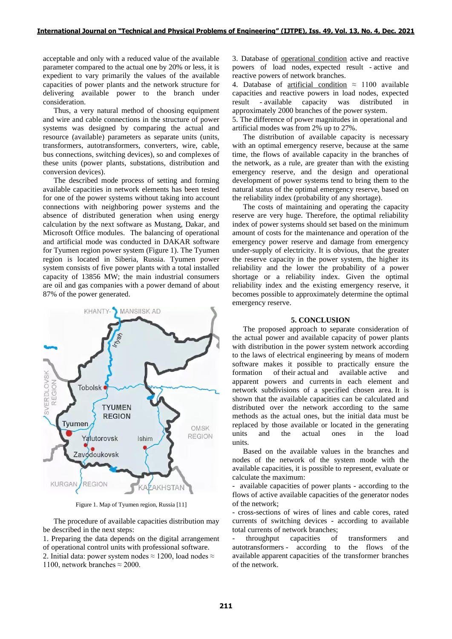acceptable and only with a reduced value of the available parameter compared to the actual one by 20% or less, it is expedient to vary primarily the values of the available capacities of power plants and the network structure for delivering available power to the branch under consideration.

Thus, a very natural method of choosing equipment and wire and cable connections in the structure of power systems was designed by comparing the actual and resource (available) parameters as separate units (units, transformers, autotransformers, converters, wire, cable, bus connections, switching devices), so and complexes of these units (power plants, substations, distribution and conversion devices).

The described mode process of setting and forming available capacities in network elements has been tested for one of the power systems without taking into account connections with neighboring power systems and the absence of distributed generation when using energy calculation by the next software as Mustang, Dakar, and Microsoft Office modules. The balancing of operational and artificial mode was conducted in DAKAR software for Tyumen region power system (Figure 1). The Tyumen region is located in Siberia, Russia. Tyumen power system consists of five power plants with a total installed capacity of 13856 MW; the main industrial consumers are oil and gas companies with a power demand of about 87% of the power generated.



Figure 1. Map of Tyumen region, Russia [11]

The procedure of available capacities distribution may be described in the next steps:

1. Preparing the data depends on the digital arrangement of operational control units with professional software. 2. Initial data: power system nodes  $\approx$  1200, load nodes  $\approx$ 1100, network branches  $\approx$  2000.

3. Database of operational condition active and reactive powers of load nodes, expected result - active and reactive powers of network branches.

4. Database of <u>artificial condition</u>  $\approx$  1100 available capacities and reactive powers in load nodes, expected result - available capacity was distributed approximately 2000 branches of the power system.

5. The difference of power magnitudes in operational and artificial modes was from 2% up to 27%.

The distribution of available capacity is necessary with an optimal emergency reserve, because at the same time, the flows of available capacity in the branches of the network, as a rule, are greater than with the existing emergency reserve, and the design and operational development of power systems tend to bring them to the natural status of the optimal emergency reserve, based on the reliability index (probability of any shortage).

The costs of maintaining and operating the capacity reserve are very huge. Therefore, the optimal reliability index of power systems should set based on the minimum amount of costs for the maintenance and operation of the emergency power reserve and damage from emergency under-supply of electricity. It is obvious, that the greater the reserve capacity in the power system, the higher its reliability and the lower the probability of a power shortage or a reliability index. Given the optimal reliability index and the existing emergency reserve, it becomes possible to approximately determine the optimal emergency reserve.

### **5. CONCLUSION**

The proposed approach to separate consideration of the actual power and available capacity of power plants with distribution in the power system network according to the laws of electrical engineering by means of modern software makes it possible to practically ensure the formation of their actual and available active and apparent powers and currents in each element and network subdivisions of a specified chosen area. It is shown that the available capacities can be calculated and distributed over the network according to the same methods as the actual ones, but the initial data must be replaced by those available or located in the generating units and the actual ones in the load units.

Based on the available values in the branches and nodes of the network of the system mode with the available capacities, it is possible to represent, evaluate or calculate the maximum:

- available capacities of power plants - according to the flows of active available capacities of the generator nodes of the network;

- cross-sections of wires of lines and cable cores, rated currents of switching devices - according to available total currents of network branches;

- throughput capacities of transformers and autotransformers - according to the flows of the available apparent capacities of the transformer branches of the network.